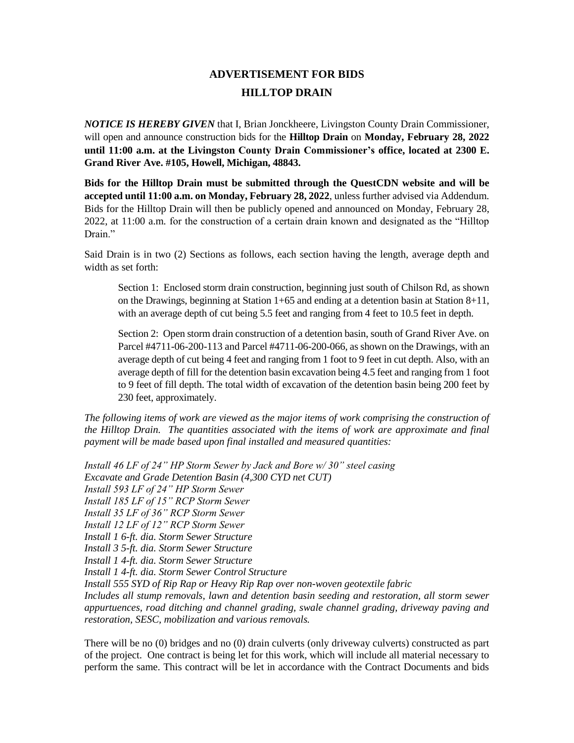## **ADVERTISEMENT FOR BIDS HILLTOP DRAIN**

*NOTICE IS HEREBY GIVEN* that I, Brian Jonckheere, Livingston County Drain Commissioner, will open and announce construction bids for the **Hilltop Drain** on **Monday, February 28, 2022 until 11:00 a.m. at the Livingston County Drain Commissioner's office, located at 2300 E. Grand River Ave. #105, Howell, Michigan, 48843.** 

**Bids for the Hilltop Drain must be submitted through the QuestCDN website and will be accepted until 11:00 a.m. on Monday, February 28, 2022**, unless further advised via Addendum. Bids for the Hilltop Drain will then be publicly opened and announced on Monday, February 28, 2022, at 11:00 a.m. for the construction of a certain drain known and designated as the "Hilltop Drain."

Said Drain is in two (2) Sections as follows, each section having the length, average depth and width as set forth:

Section 1: Enclosed storm drain construction, beginning just south of Chilson Rd, as shown on the Drawings, beginning at Station  $1+65$  and ending at a detention basin at Station  $8+11$ , with an average depth of cut being 5.5 feet and ranging from 4 feet to 10.5 feet in depth.

Section 2: Open storm drain construction of a detention basin, south of Grand River Ave. on Parcel #4711-06-200-113 and Parcel #4711-06-200-066, as shown on the Drawings, with an average depth of cut being 4 feet and ranging from 1 foot to 9 feet in cut depth. Also, with an average depth of fill for the detention basin excavation being 4.5 feet and ranging from 1 foot to 9 feet of fill depth. The total width of excavation of the detention basin being 200 feet by 230 feet, approximately.

*The following items of work are viewed as the major items of work comprising the construction of the Hilltop Drain. The quantities associated with the items of work are approximate and final payment will be made based upon final installed and measured quantities:*

*Install 46 LF of 24" HP Storm Sewer by Jack and Bore w/ 30" steel casing Excavate and Grade Detention Basin (4,300 CYD net CUT) Install 593 LF of 24" HP Storm Sewer Install 185 LF of 15" RCP Storm Sewer Install 35 LF of 36" RCP Storm Sewer Install 12 LF of 12" RCP Storm Sewer Install 1 6-ft. dia. Storm Sewer Structure Install 3 5-ft. dia. Storm Sewer Structure Install 1 4-ft. dia. Storm Sewer Structure Install 1 4-ft. dia. Storm Sewer Control Structure Install 555 SYD of Rip Rap or Heavy Rip Rap over non-woven geotextile fabric Includes all stump removals, lawn and detention basin seeding and restoration, all storm sewer appurtuences, road ditching and channel grading, swale channel grading, driveway paving and restoration, SESC, mobilization and various removals.*

There will be no (0) bridges and no (0) drain culverts (only driveway culverts) constructed as part of the project. One contract is being let for this work, which will include all material necessary to perform the same. This contract will be let in accordance with the Contract Documents and bids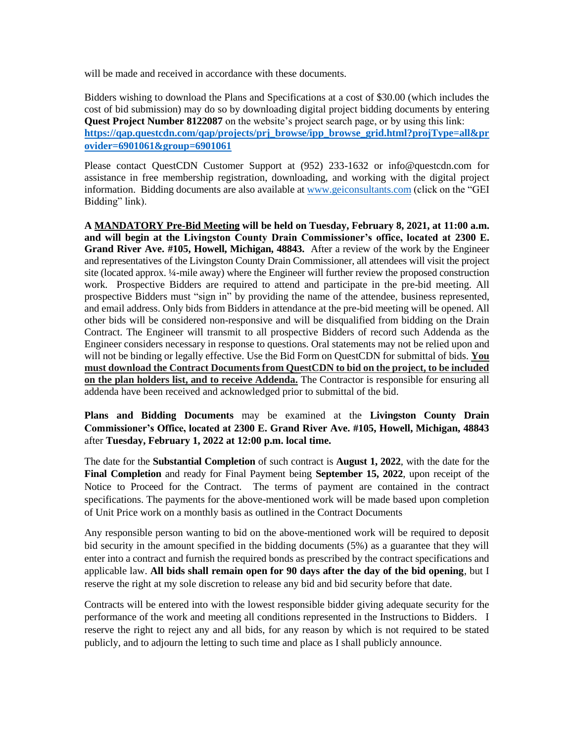will be made and received in accordance with these documents.

Bidders wishing to download the Plans and Specifications at a cost of \$30.00 (which includes the cost of bid submission) may do so by downloading digital project bidding documents by entering **Quest Project Number 8122087** on the website's project search page, or by using this link: **[https://qap.questcdn.com/qap/projects/prj\\_browse/ipp\\_browse\\_grid.html?projType=all&pr](https://qap.questcdn.com/qap/projects/prj_browse/ipp_browse_grid.html?projType=all&provider=6901061&group=6901061) [ovider=6901061&group=6901061](https://qap.questcdn.com/qap/projects/prj_browse/ipp_browse_grid.html?projType=all&provider=6901061&group=6901061)**

Please contact QuestCDN Customer Support at (952) 233-1632 or info@questcdn.com for assistance in free membership registration, downloading, and working with the digital project information. Bidding documents are also available at [www.geiconsultants.com](http://www.geiconsultants.com/) (click on the "GEI Bidding" link).

**A MANDATORY Pre-Bid Meeting will be held on Tuesday, February 8, 2021, at 11:00 a.m. and will begin at the Livingston County Drain Commissioner's office, located at 2300 E. Grand River Ave. #105, Howell, Michigan, 48843.** After a review of the work by the Engineer and representatives of the Livingston County Drain Commissioner, all attendees will visit the project site (located approx. ¼-mile away) where the Engineer will further review the proposed construction work.Prospective Bidders are required to attend and participate in the pre-bid meeting. All prospective Bidders must "sign in" by providing the name of the attendee, business represented, and email address. Only bids from Bidders in attendance at the pre-bid meeting will be opened. All other bids will be considered non-responsive and will be disqualified from bidding on the Drain Contract. The Engineer will transmit to all prospective Bidders of record such Addenda as the Engineer considers necessary in response to questions. Oral statements may not be relied upon and will not be binding or legally effective. Use the Bid Form on QuestCDN for submittal of bids. **You must download the Contract Documents from QuestCDN to bid on the project, to be included on the plan holders list, and to receive Addenda.** The Contractor is responsible for ensuring all addenda have been received and acknowledged prior to submittal of the bid.

**Plans and Bidding Documents** may be examined at the **Livingston County Drain Commissioner's Office, located at 2300 E. Grand River Ave. #105, Howell, Michigan, 48843** after **Tuesday, February 1, 2022 at 12:00 p.m. local time.**

The date for the **Substantial Completion** of such contract is **August 1, 2022**, with the date for the **Final Completion** and ready for Final Payment being **September 15, 2022**, upon receipt of the Notice to Proceed for the Contract. The terms of payment are contained in the contract specifications. The payments for the above-mentioned work will be made based upon completion of Unit Price work on a monthly basis as outlined in the Contract Documents

Any responsible person wanting to bid on the above-mentioned work will be required to deposit bid security in the amount specified in the bidding documents (5%) as a guarantee that they will enter into a contract and furnish the required bonds as prescribed by the contract specifications and applicable law. **All bids shall remain open for 90 days after the day of the bid opening**, but I reserve the right at my sole discretion to release any bid and bid security before that date.

Contracts will be entered into with the lowest responsible bidder giving adequate security for the performance of the work and meeting all conditions represented in the Instructions to Bidders. I reserve the right to reject any and all bids, for any reason by which is not required to be stated publicly, and to adjourn the letting to such time and place as I shall publicly announce.